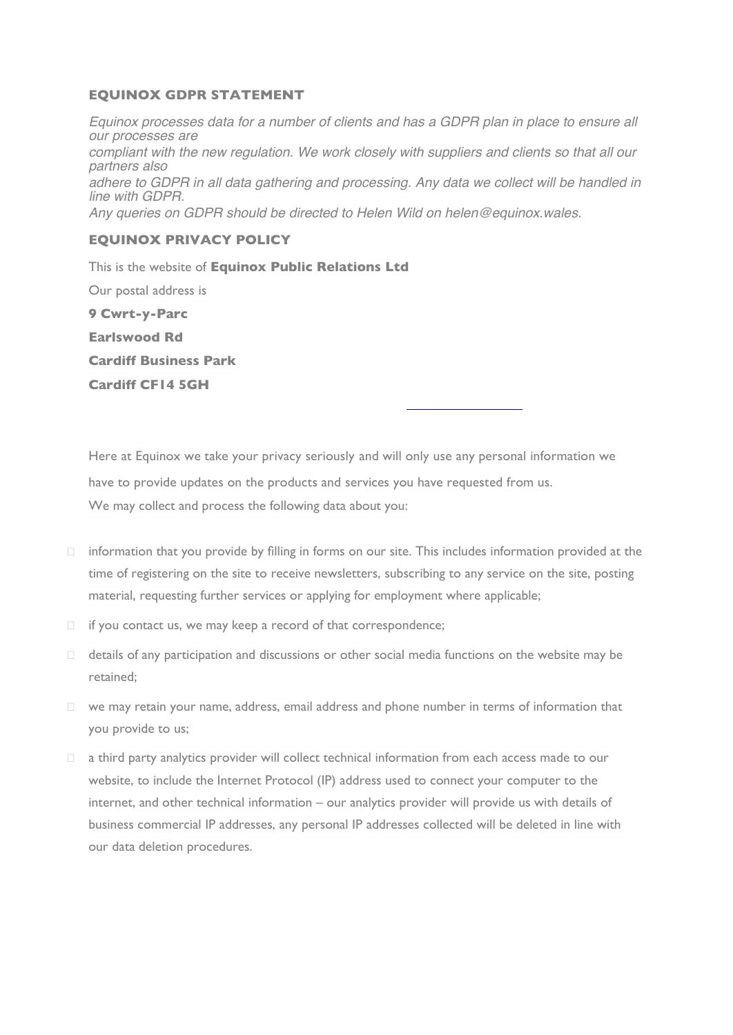## **EQUINOX GDPR STATEMENT**

*Equinox processes data for a number of clients and has a GDPR plan in place to ensure all our processes are compliant with the new regulation. We work closely with suppliers and clients so that all our partners also adhere to GDPR in all data gathering and processing. Any data we collect will be handled in line with GDPR. Any queries on GDPR should be directed to Helen Wild on helen@equinox.wales.*

# **EQUINOX PRIVACY POLICY**

This is the website of **Equinox Public Relations Ltd** Our postal address is **9 Cwrt-y-Parc Earlswood Rd Cardiff Business Park Cardiff CF14 5GH**

764 100. The Data Controller at Equinox is Zara Cottle zara@equinox.wales. Here at Equinox we take your privacy seriously and will only use any personal information we have to provide updates on the products and services you have requested from us. We may collect and process the following data about you:

- $\Box$  information that you provide by filling in forms on our site. This includes information provided at the time of registering on the site to receive newsletters, subscribing to any service on the site, posting material, requesting further services or applying for employment where applicable;
- $\Box$  if you contact us, we may keep a record of that correspondence;
- $\Box$  details of any participation and discussions or other social media functions on the website may be retained;
- $\Box$  we may retain your name, address, email address and phone number in terms of information that you provide to us;
- a third party analytics provider will collect technical information from each access made to our website, to include the Internet Protocol (IP) address used to connect your computer to the internet, and other technical information – our analytics provider will provide us with details of business commercial IP addresses, any personal IP addresses collected will be deleted in line with our data deletion procedures.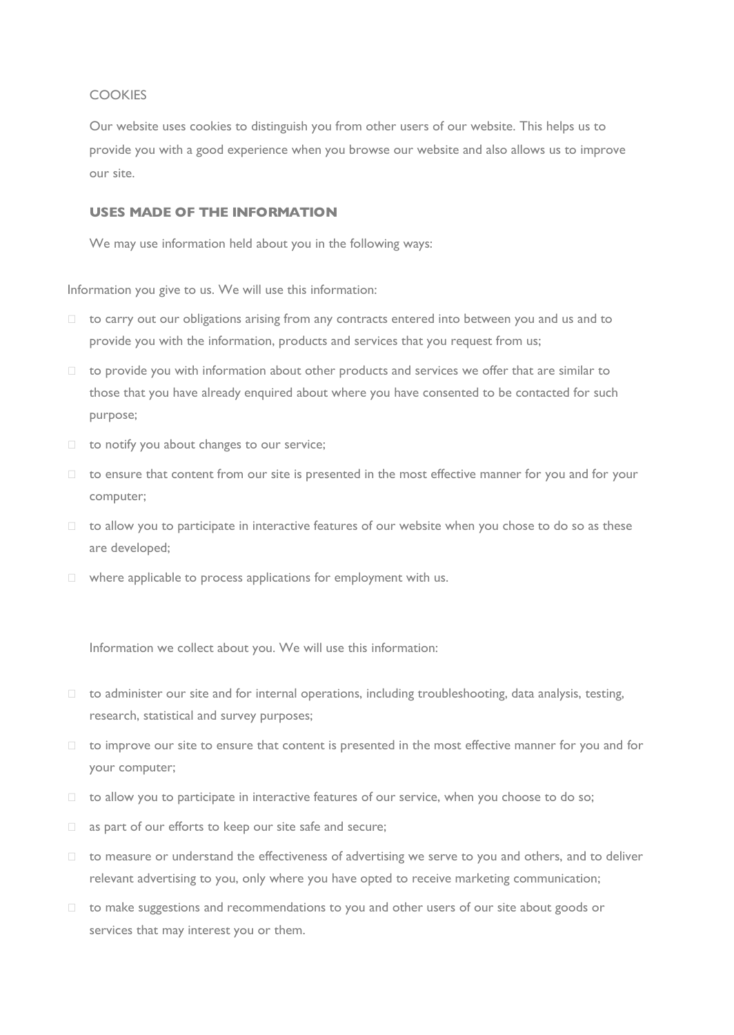## **COOKIES**

Our website uses cookies to distinguish you from other users of our website. This helps us to provide you with a good experience when you browse our website and also allows us to improve our site.

## **USES MADE OF THE INFORMATION**

We may use information held about you in the following ways:

Information you give to us. We will use this information:

- □ to carry out our obligations arising from any contracts entered into between you and us and to provide you with the information, products and services that you request from us;
- $\Box$  to provide you with information about other products and services we offer that are similar to those that you have already enquired about where you have consented to be contacted for such purpose;
- $\Box$  to notify you about changes to our service;
- $\Box$  to ensure that content from our site is presented in the most effective manner for you and for your computer;
- $\Box$  to allow you to participate in interactive features of our website when you chose to do so as these are developed;
- $\Box$  where applicable to process applications for employment with us.

Information we collect about you. We will use this information:

- $\Box$  to administer our site and for internal operations, including troubleshooting, data analysis, testing, research, statistical and survey purposes;
- $\Box$  to improve our site to ensure that content is presented in the most effective manner for you and for your computer;
- $\Box$  to allow you to participate in interactive features of our service, when you choose to do so;
- $\Box$  as part of our efforts to keep our site safe and secure;
- $\Box$  to measure or understand the effectiveness of advertising we serve to you and others, and to deliver relevant advertising to you, only where you have opted to receive marketing communication;
- $\Box$  to make suggestions and recommendations to you and other users of our site about goods or services that may interest you or them.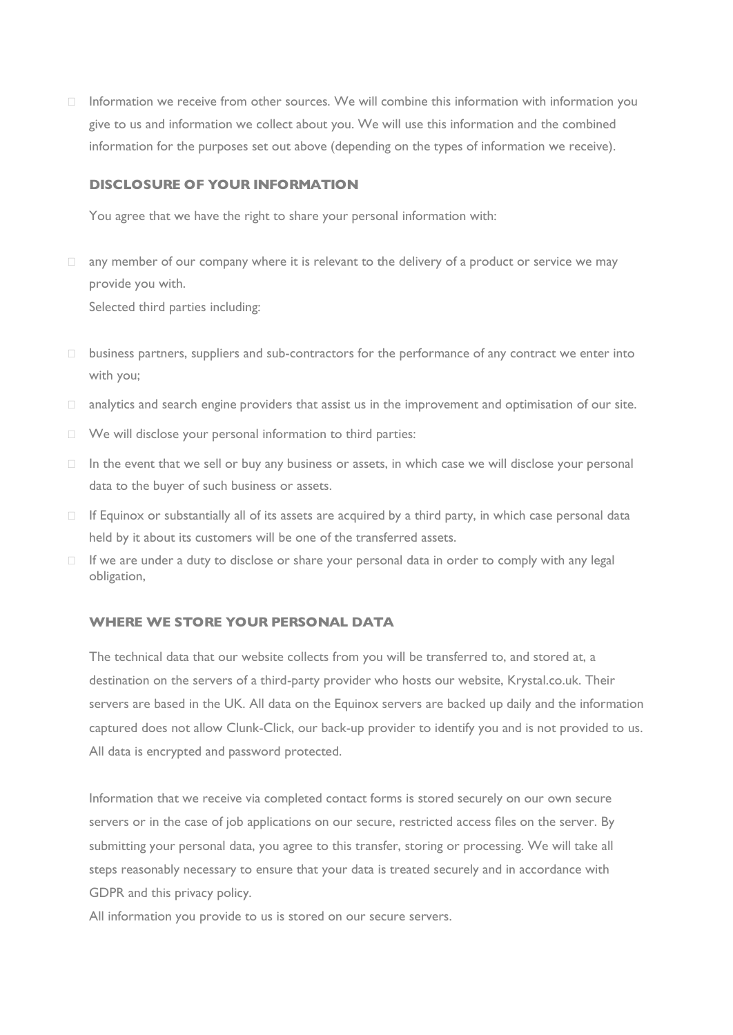$\Box$  Information we receive from other sources. We will combine this information with information you give to us and information we collect about you. We will use this information and the combined information for the purposes set out above (depending on the types of information we receive).

### **DISCLOSURE OF YOUR INFORMATION**

You agree that we have the right to share your personal information with:

- $\Box$  any member of our company where it is relevant to the delivery of a product or service we may provide you with. Selected third parties including:
- $\square$  business partners, suppliers and sub-contractors for the performance of any contract we enter into with you;
- $\Box$  analytics and search engine providers that assist us in the improvement and optimisation of our site.
- We will disclose your personal information to third parties:
- $\Box$  In the event that we sell or buy any business or assets, in which case we will disclose your personal data to the buyer of such business or assets.
- $\Box$  If Equinox or substantially all of its assets are acquired by a third party, in which case personal data held by it about its customers will be one of the transferred assets.
- $\Box$  If we are under a duty to disclose or share your personal data in order to comply with any legal obligation,

#### **WHERE WE STORE YOUR PERSONAL DATA**

The technical data that our website collects from you will be transferred to, and stored at, a destination on the servers of a third-party provider who hosts our website, Krystal.co.uk. Their servers are based in the UK. All data on the Equinox servers are backed up daily and the information captured does not allow Clunk-Click, our back-up provider to identify you and is not provided to us. All data is encrypted and password protected.

Information that we receive via completed contact forms is stored securely on our own secure servers or in the case of job applications on our secure, restricted access files on the server. By submitting your personal data, you agree to this transfer, storing or processing. We will take all steps reasonably necessary to ensure that your data is treated securely and in accordance with GDPR and this privacy policy.

All information you provide to us is stored on our secure servers.